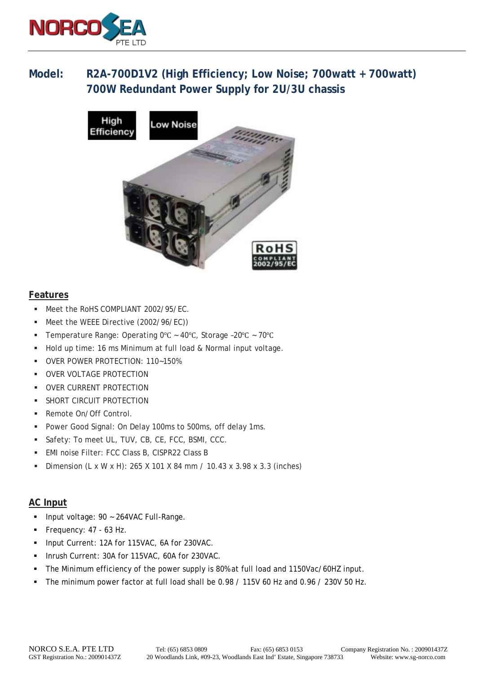

# **Model: R2A-700D1V2 (High Efficiency; Low Noise; 700watt + 700watt) 700W Redundant Power Supply for 2U/3U chassis**



#### **Features**

- **Meet the RoHS COMPLIANT 2002/95/EC.**
- Meet the WEEE Directive (2002/96/EC)
- Temperature Range: Operating 0°C ~ 40°C, Storage -20°C ~ 70°C
- Hold up time: 16 ms Minimum at full load & Normal input voltage.
- OVER POWER PROTECTION: 110~150%
- **OVER VOLTAGE PROTECTION**
- **OVER CURRENT PROTECTION**
- **SHORT CIRCUIT PROTECTION**
- Remote On/Off Control.
- **Power Good Signal: On Delay 100ms to 500ms, off delay 1ms.**
- Safety: To meet UL, TUV, CB, CE, FCC, BSMI, CCC.
- EMI noise Filter: FCC Class B, CISPR22 Class B
- **Dimension (L x W x H): 265 X 101 X 84 mm / 10.43 x 3.98 x 3.3 (inches)**

#### **AC Input**

- **Input voltage: 90 ~ 264VAC Full-Range.**
- Frequency: 47 63 Hz.
- Input Current: 12A for 115VAC, 6A for 230VAC.
- Inrush Current: 30A for 115VAC, 60A for 230VAC.
- The Minimum efficiency of the power supply is 80% at full load and 1150Vac/60HZ input.
- The minimum power factor at full load shall be 0.98 / 115V 60 Hz and 0.96 / 230V 50 Hz.